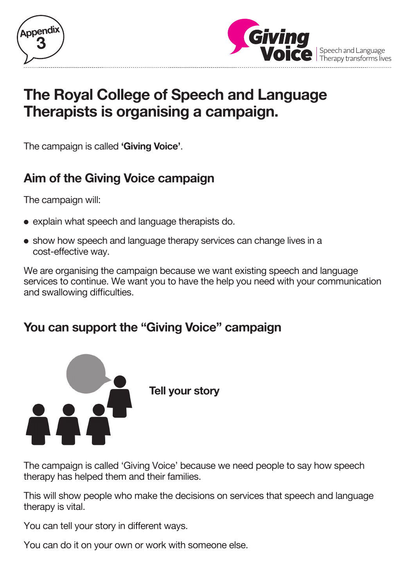



# **The Royal College of Speech and Language Therapists is organising a campaign.**

The campaign is called **'Giving Voice'**.

# **Aim of the Giving Voice campaign**

The campaign will:

- explain what speech and language therapists do.
- show how speech and language therapy services can change lives in a cost-effective way.

We are organising the campaign because we want existing speech and language services to continue. We want you to have the help you need with your communication and swallowing difficulties.

# **You can support the "Giving Voice" campaign**



 **Tell your story**

The campaign is called 'Giving Voice' because we need people to say how speech therapy has helped them and their families.

This will show people who make the decisions on services that speech and language therapy is vital.

You can tell your story in different ways.

You can do it on your own or work with someone else.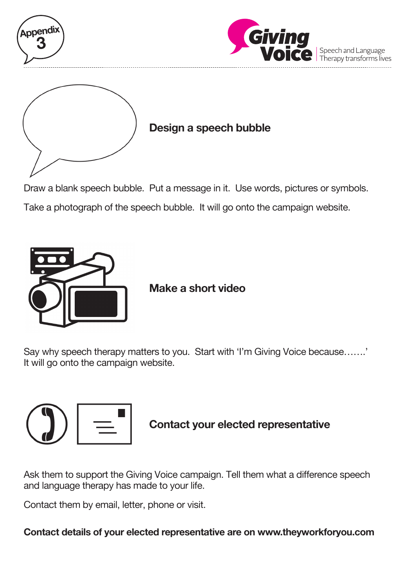



#### **Design a speech bubble**

Draw a blank speech bubble. Put a message in it. Use words, pictures or symbols. Take a photograph of the speech bubble. It will go onto the campaign website.



 **Make a short video**

Say why speech therapy matters to you. Start with 'I'm Giving Voice because…….' It will go onto the campaign website.



### **Contact your elected representative**

Ask them to support the Giving Voice campaign. Tell them what a difference speech and language therapy has made to your life.

Contact them by email, letter, phone or visit.

**Contact details of your elected representative are on www.theyworkforyou.com**